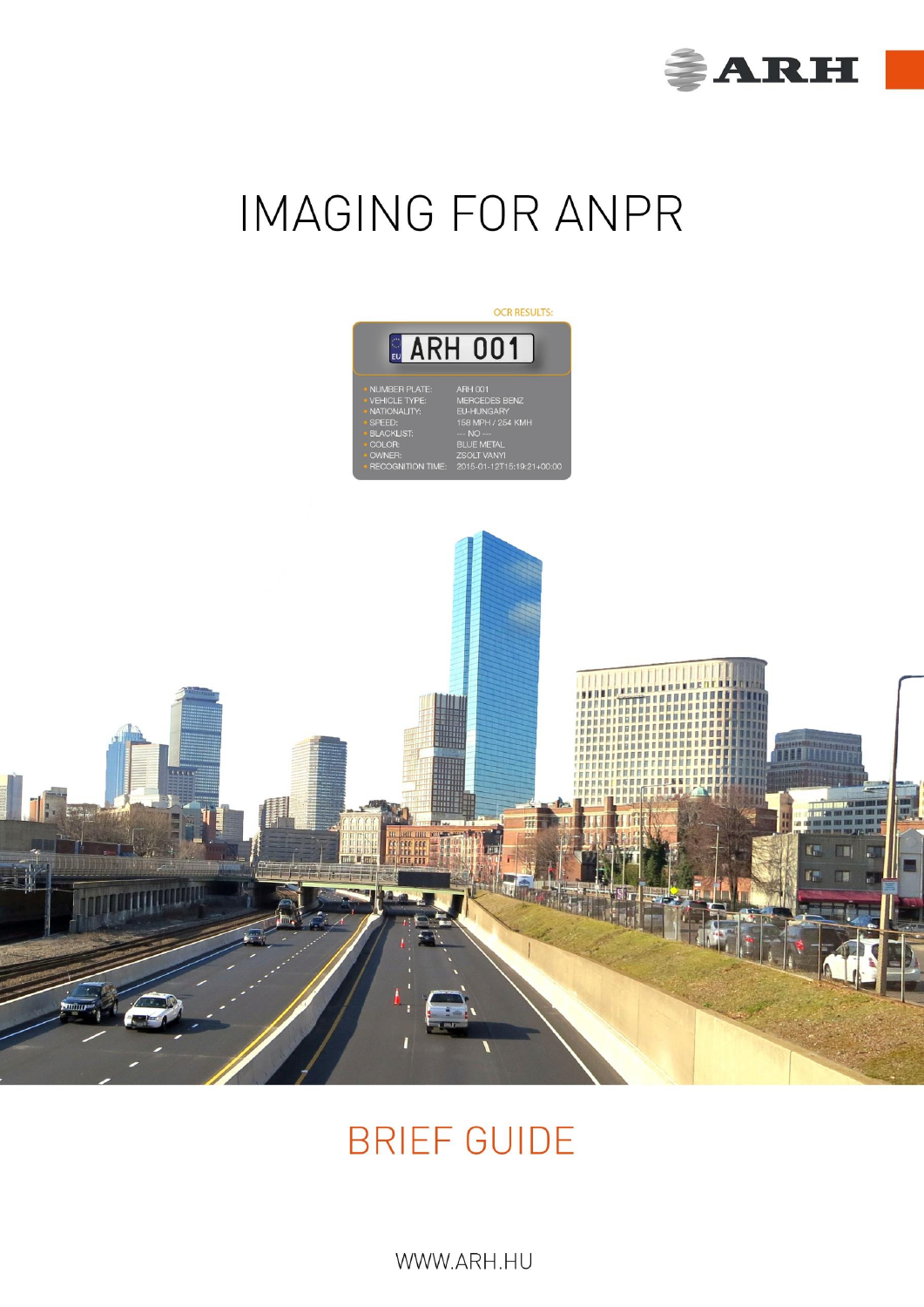

# **IMAGING FOR ANPR**





## **BRIEF GUIDE**

 $V$ v v v v  $A$ NT 1.11  $\cup$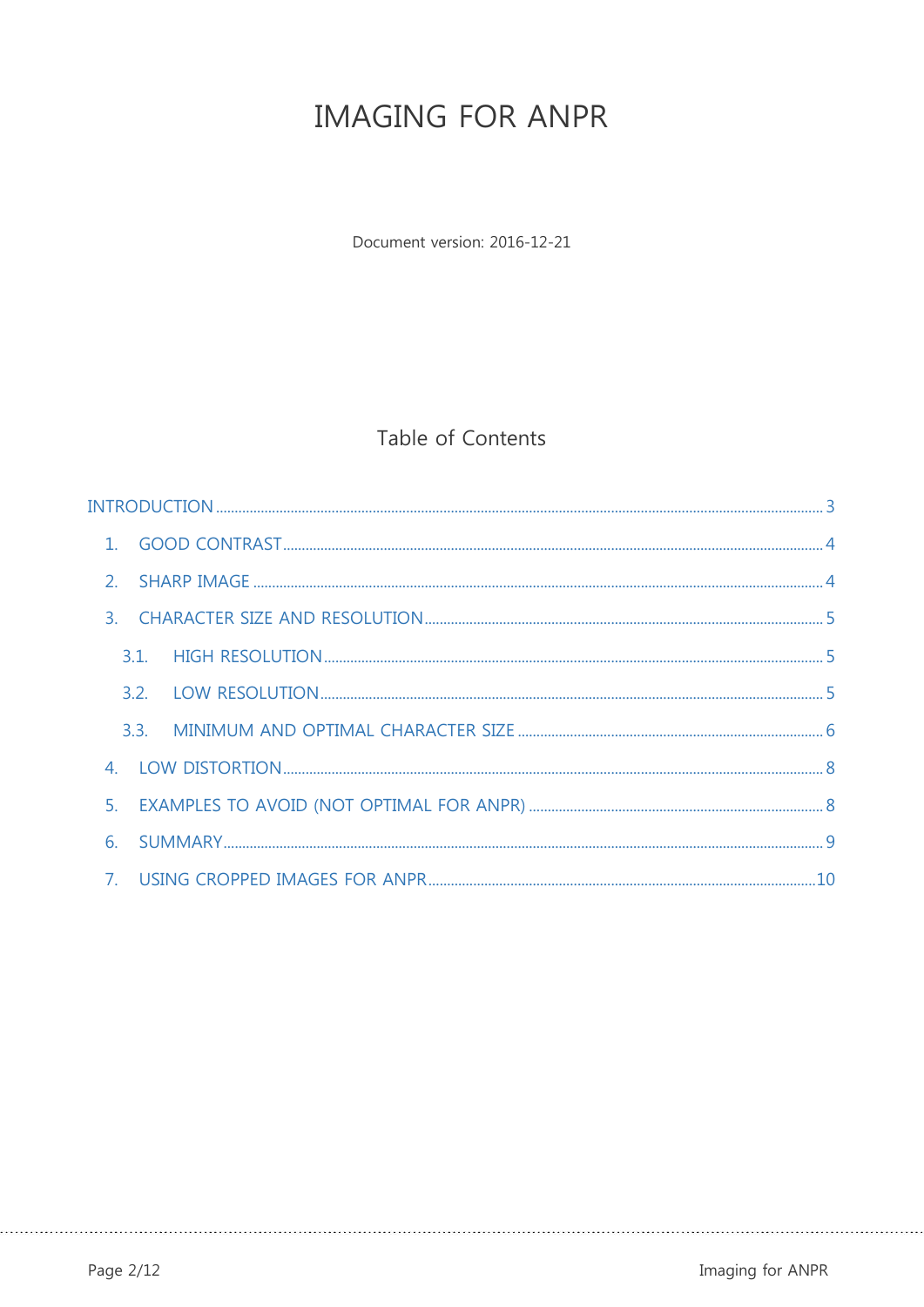## **IMAGING FOR ANPR**

Document version: 2016-12-21

### Table of Contents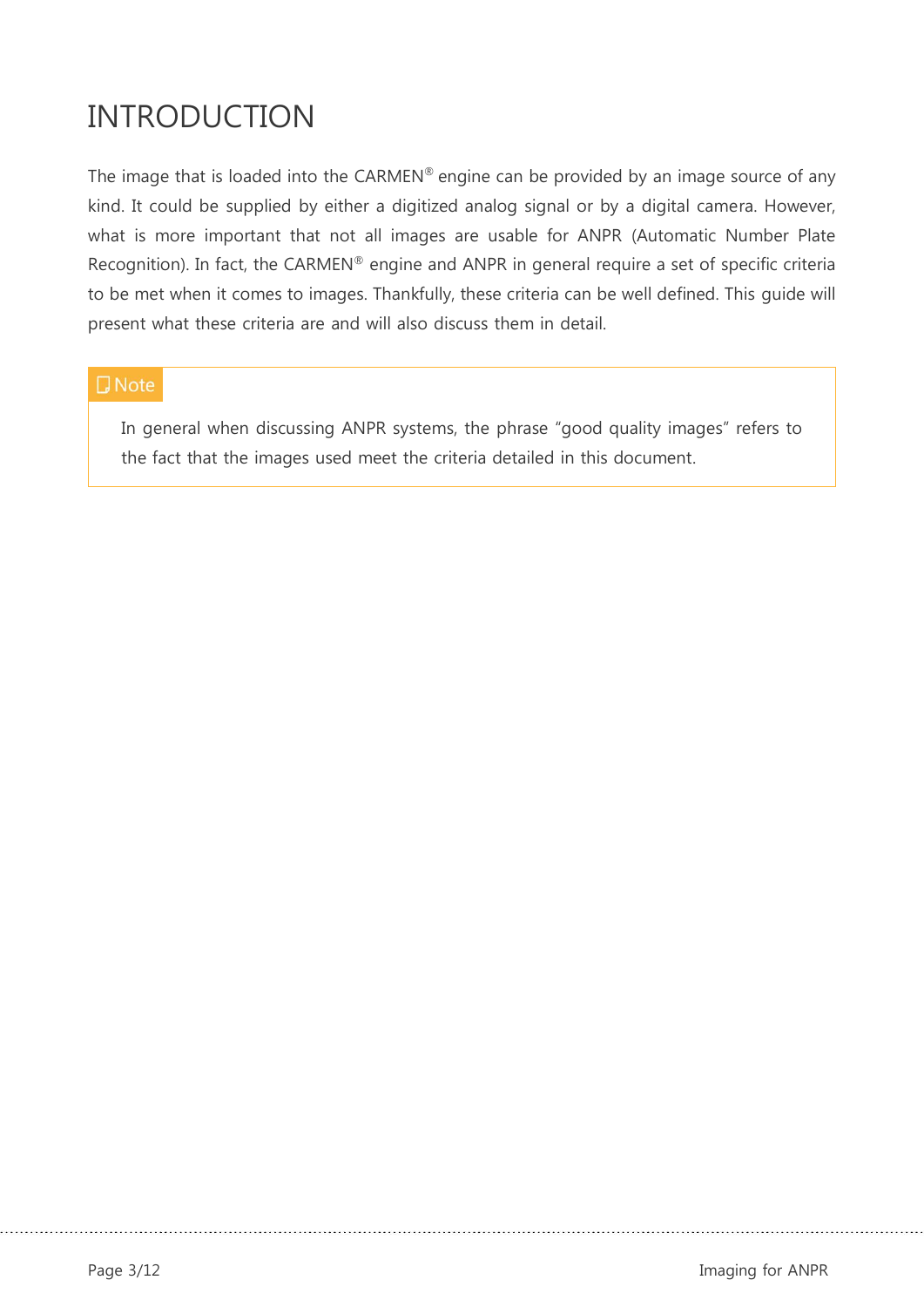## <span id="page-2-0"></span>INTRODUCTION

The image that is loaded into the CARMEN® engine can be provided by an image source of any kind. It could be supplied by either a digitized analog signal or by a digital camera. However, what is more important that not all images are usable for ANPR (Automatic Number Plate Recognition). In fact, the CARMEN® engine and ANPR in general require a set of specific criteria to be met when it comes to images. Thankfully, these criteria can be well defined. This guide will present what these criteria are and will also discuss them in detail.

#### **D** Note

In general when discussing ANPR systems, the phrase "good quality images" refers to the fact that the images used meet the criteria detailed in this document.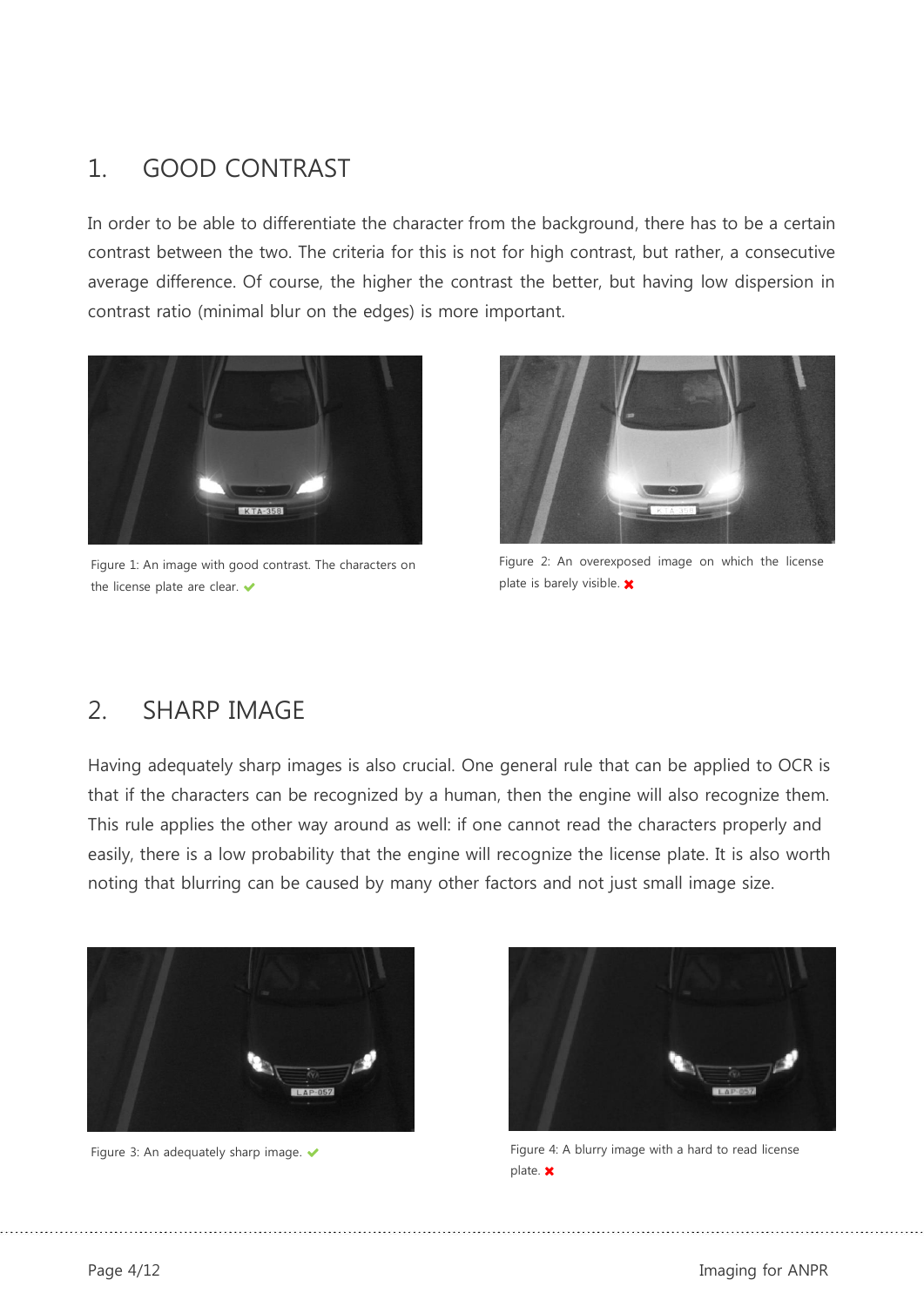## <span id="page-3-0"></span>1. GOOD CONTRAST

In order to be able to differentiate the character from the background, there has to be a certain contrast between the two. The criteria for this is not for high contrast, but rather, a consecutive average difference. Of course, the higher the contrast the better, but having low dispersion in contrast ratio (minimal blur on the edges) is more important.



Figure 1: An image with good contrast. The characters on the license plate are clear.



Figure 2: An overexposed image on which the license plate is barely visible.  $\boldsymbol{\times}$ 

### <span id="page-3-1"></span>2. SHARP IMAGE

Having adequately sharp images is also crucial. One general rule that can be applied to OCR is that if the characters can be recognized by a human, then the engine will also recognize them. This rule applies the other way around as well: if one cannot read the characters properly and easily, there is a low probability that the engine will recognize the license plate. It is also worth noting that blurring can be caused by many other factors and not just small image size.





Figure 3: An adequately sharp image.  $\bullet$  external to read license Figure 4: A blurry image with a hard to read license plate. **x**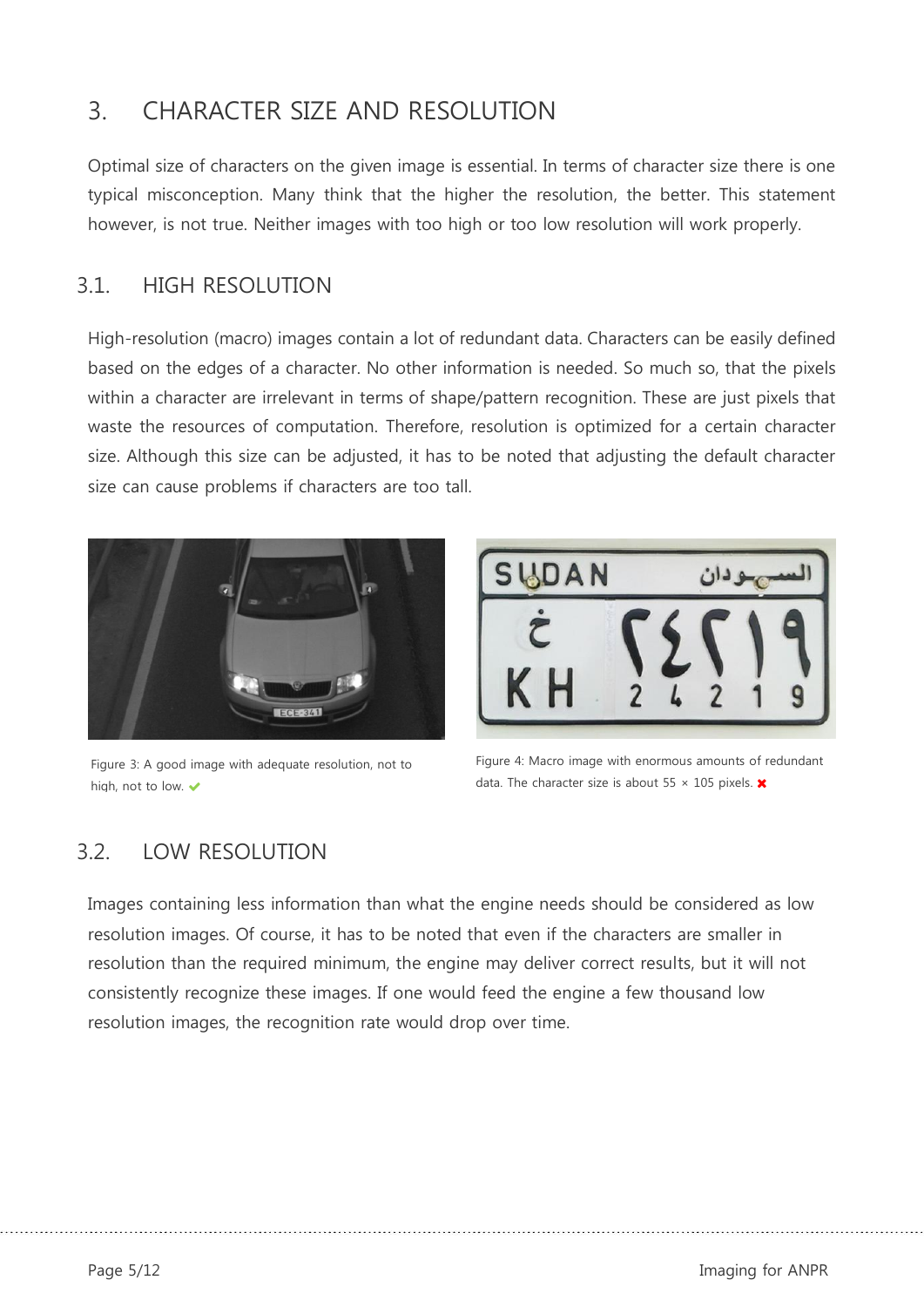## <span id="page-4-0"></span>3. CHARACTER SIZE AND RESOLUTION

Optimal size of characters on the given image is essential. In terms of character size there is one typical misconception. Many think that the higher the resolution, the better. This statement however, is not true. Neither images with too high or too low resolution will work properly.

#### <span id="page-4-1"></span>3.1. HIGH RESOLUTION

High-resolution (macro) images contain a lot of redundant data. Characters can be easily defined based on the edges of a character. No other information is needed. So much so, that the pixels within a character are irrelevant in terms of shape/pattern recognition. These are just pixels that waste the resources of computation. Therefore, resolution is optimized for a certain character size. Although this size can be adjusted, it has to be noted that adjusting the default character size can cause problems if characters are too tall.



Figure 3: A good image with adequate resolution, not to high, not to low.  $\checkmark$ 



Figure 4: Macro image with enormous amounts of redundant data. The character size is about 55  $\times$  105 pixels.  $\times$ 

#### <span id="page-4-2"></span>3.2. LOW RESOLUTION

Images containing less information than what the engine needs should be considered as low resolution images. Of course, it has to be noted that even if the characters are smaller in resolution than the required minimum, the engine may deliver correct results, but it will not consistently recognize these images. If one would feed the engine a few thousand low resolution images, the recognition rate would drop over time.

Page 5/12 Imaging for ANPR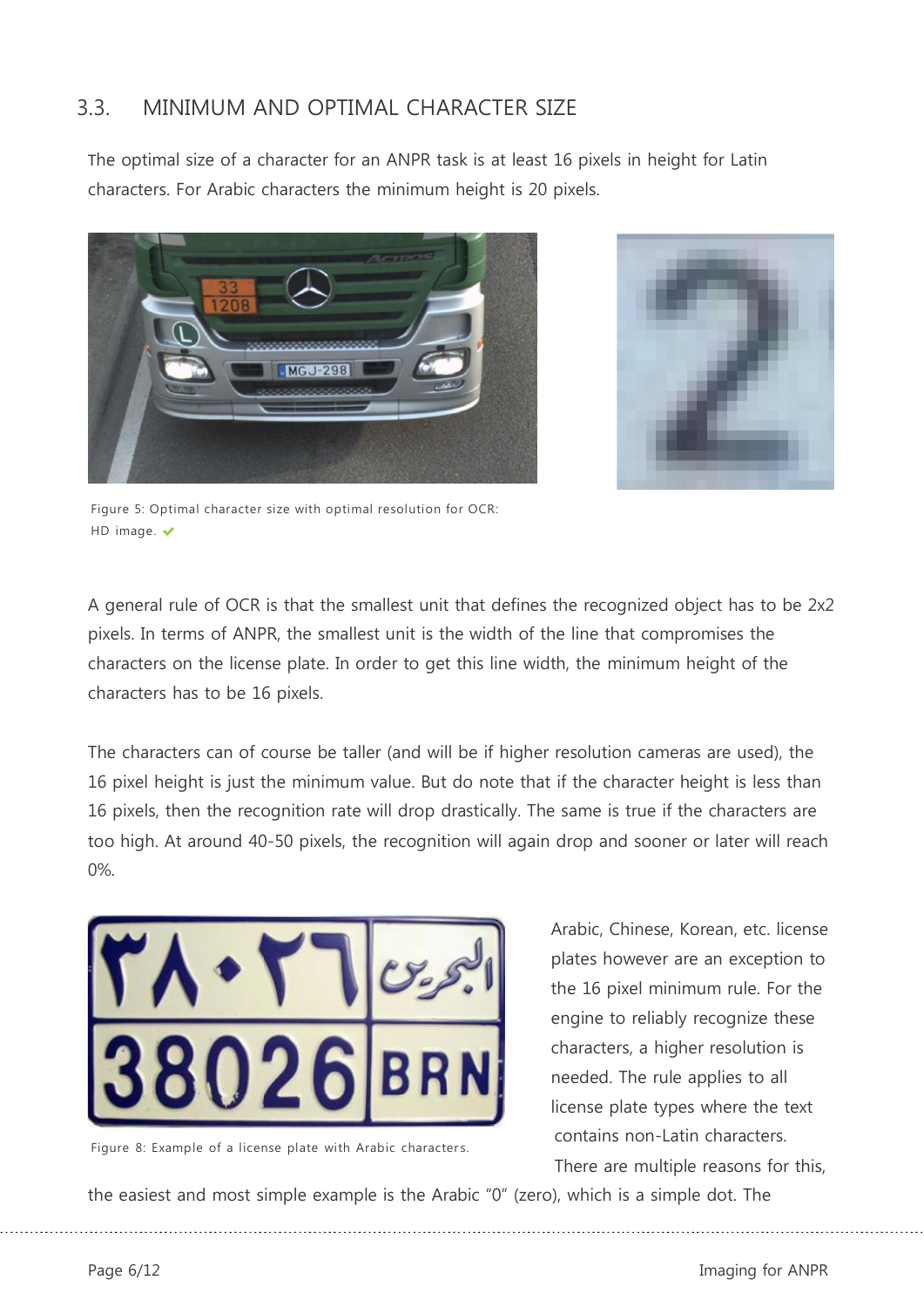#### <span id="page-5-0"></span>3.3. MINIMUM AND OPTIMAL CHARACTER SIZE

The optimal size of a character for an ANPR task is at least 16 pixels in height for Latin characters. For Arabic characters the minimum height is 20 pixels.





Figure 5: Optimal character size with optimal resolution for OCR: HD image. ✔

A general rule of OCR is that the smallest unit that defines the recognized object has to be 2x2 pixels. In terms of ANPR, the smallest unit is the width of the line that compromises the characters on the license plate. In order to get this line width, the minimum height of the characters has to be 16 pixels.

The characters can of course be taller (and will be if higher resolution cameras are used), the 16 pixel height is just the minimum value. But do note that if the character height is less than 16 pixels, then the recognition rate will drop drastically. The same is true if the characters are too high. At around 40-50 pixels, the recognition will again drop and sooner or later will reach 0%.



Figure 8: Example of a license plate with Arabic characters.

Arabic, Chinese, Korean, etc. license plates however are an exception to the 16 pixel minimum rule. For the engine to reliably recognize these characters, a higher resolution is needed. The rule applies to all license plate types where the text contains non-Latin characters. There are multiple reasons for this,

the easiest and most simple example is the Arabic "0" (zero), which is a simple dot. The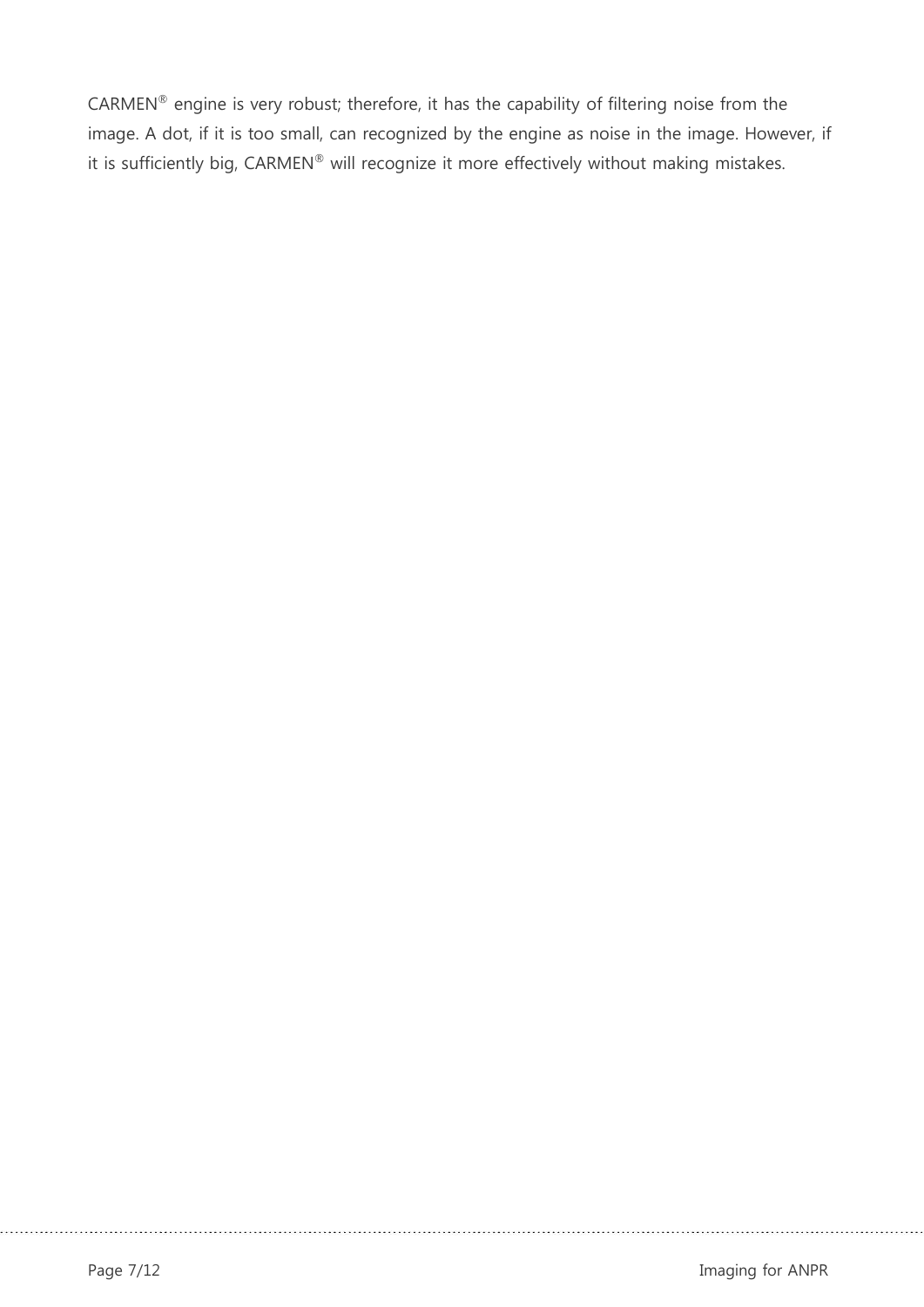CARMEN® engine is very robust; therefore, it has the capability of filtering noise from the image. A dot, if it is too small, can recognized by the engine as noise in the image. However, if it is sufficiently big, CARMEN® will recognize it more effectively without making mistakes.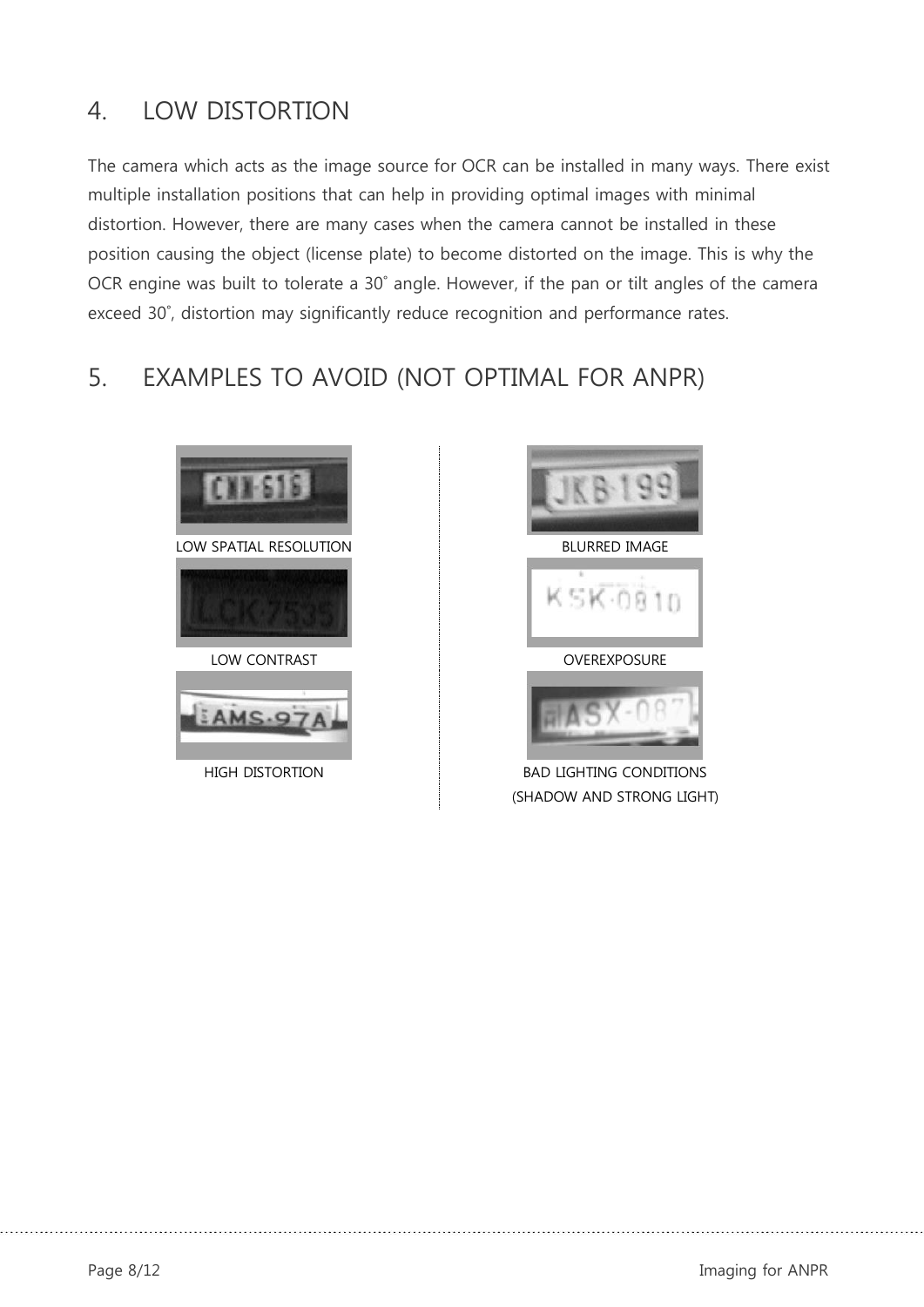## <span id="page-7-0"></span>4. LOW DISTORTION

The camera which acts as the image source for OCR can be installed in many ways. There exist multiple installation positions that can help in providing optimal images with minimal distortion. However, there are many cases when the camera cannot be installed in these position causing the object (license plate) to become distorted on the image. This is why the OCR engine was built to tolerate a 30˚ angle. However, if the pan or tilt angles of the camera exceed 30˚, distortion may significantly reduce recognition and performance rates.

### <span id="page-7-1"></span>5. EXAMPLES TO AVOID (NOT OPTIMAL FOR ANPR)





HIGH DISTORTION BAD LIGHTING CONDITIONS (SHADOW AND STRONG LIGHT)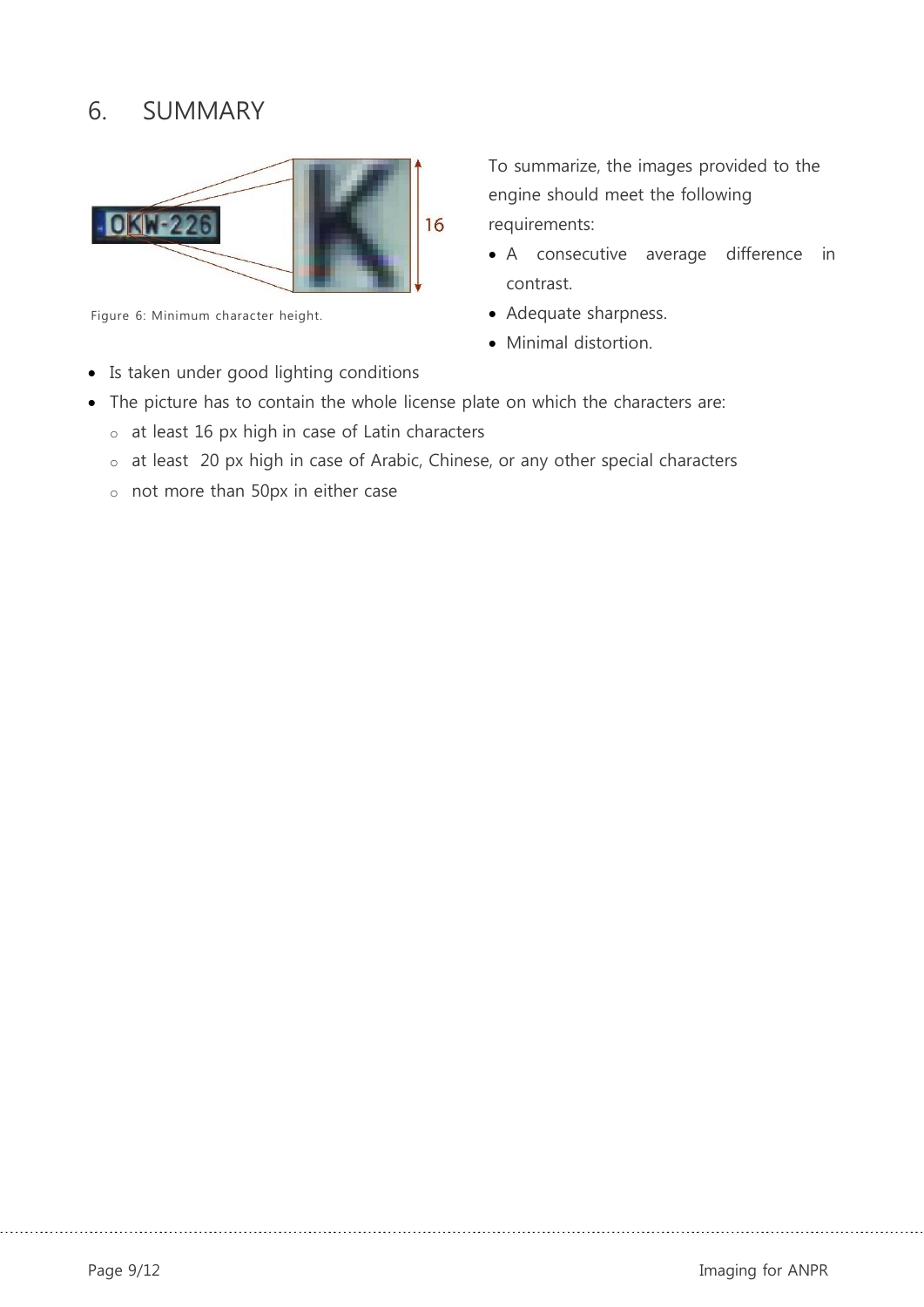## <span id="page-8-0"></span>6. SUMMARY



Figure 6: Minimum character height.

• Is taken under good lighting conditions

To summarize, the images provided to the engine should meet the following requirements:

- A consecutive average difference in contrast.
- Adequate sharpness.
- Minimal distortion.
- The picture has to contain the whole license plate on which the characters are:
	- o at least 16 px high in case of Latin characters
	- o at least 20 px high in case of Arabic, Chinese, or any other special characters
	- o not more than 50px in either case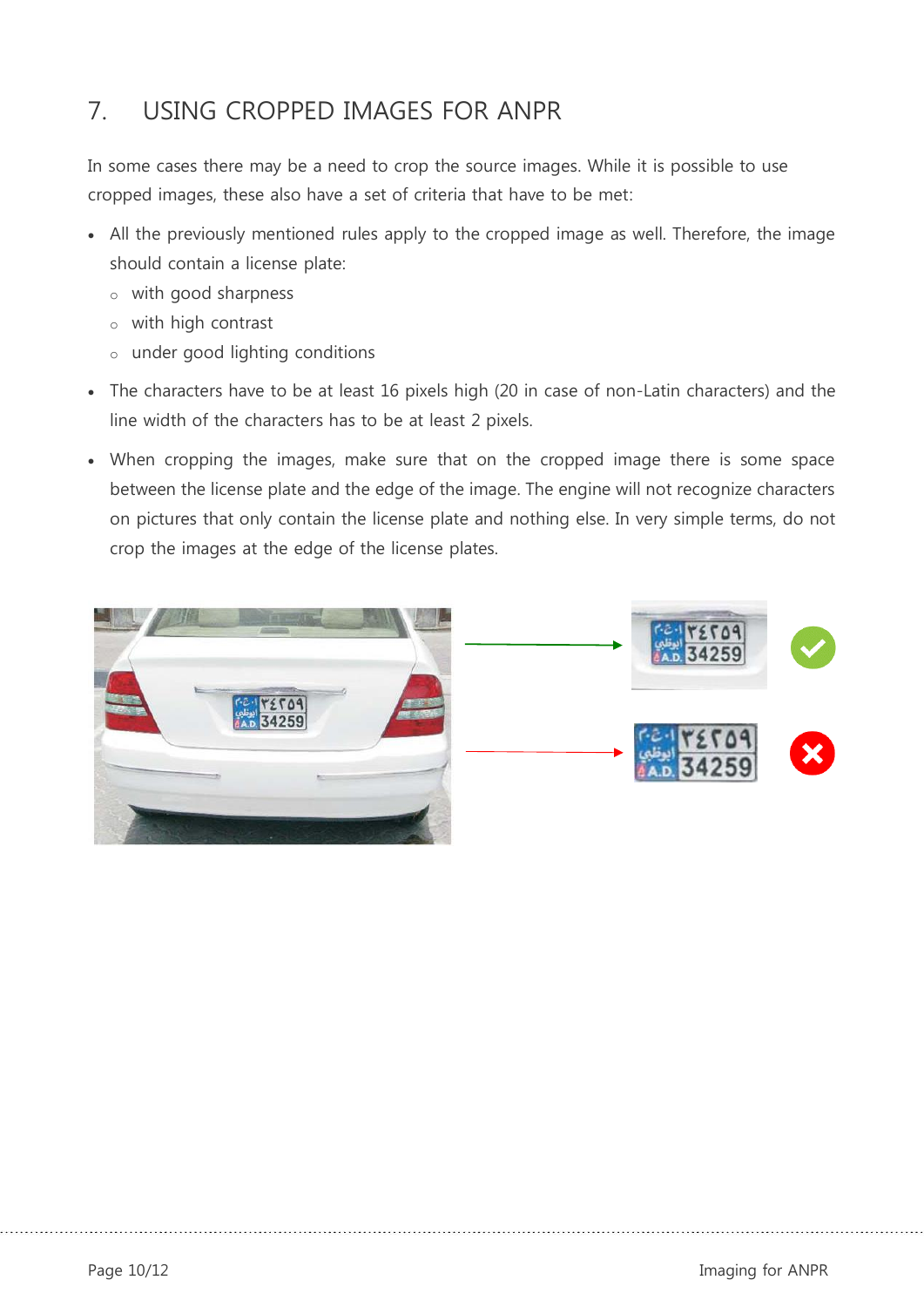## <span id="page-9-0"></span>7. USING CROPPED IMAGES FOR ANPR

In some cases there may be a need to crop the source images. While it is possible to use cropped images, these also have a set of criteria that have to be met:

- All the previously mentioned rules apply to the cropped image as well. Therefore, the image should contain a license plate:
	- o with good sharpness
	- o with high contrast
	- o under good lighting conditions
- The characters have to be at least 16 pixels high (20 in case of non-Latin characters) and the line width of the characters has to be at least 2 pixels.
- When cropping the images, make sure that on the cropped image there is some space between the license plate and the edge of the image. The engine will not recognize characters on pictures that only contain the license plate and nothing else. In very simple terms, do not crop the images at the edge of the license plates.

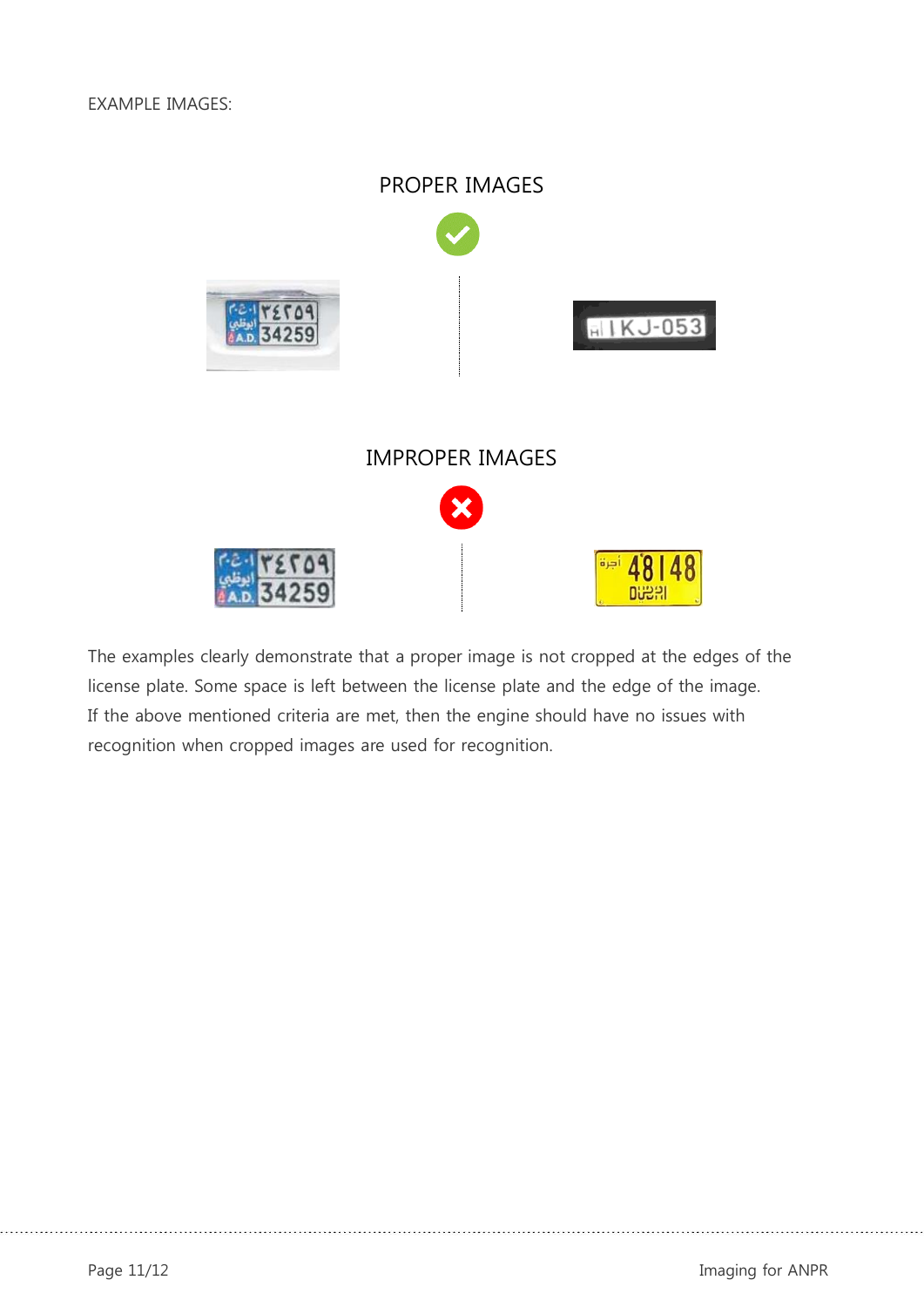

The examples clearly demonstrate that a proper image is not cropped at the edges of the license plate. Some space is left between the license plate and the edge of the image. If the above mentioned criteria are met, then the engine should have no issues with recognition when cropped images are used for recognition.

Page 11/12 Imaging for ANPR